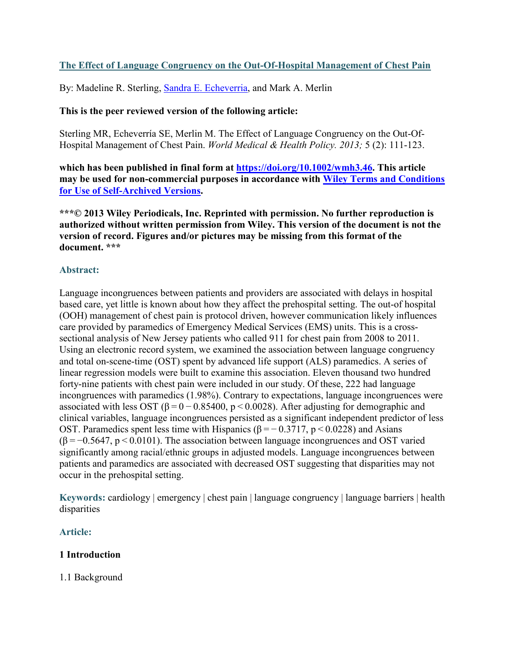# **The Effect of Language Congruency on the Out-Of-Hospital Management of Chest Pain**

By: Madeline R. Sterling, [Sandra E. Echeverria,](https://libres.uncg.edu/ir/uncg/clist.aspx?id=20598) and Mark A. Merlin

## **This is the peer reviewed version of the following article:**

Sterling MR, Echeverría SE, Merlin M. The Effect of Language Congruency on the Out-Of-Hospital Management of Chest Pain. *World Medical & Health Policy. 2013;* 5 (2): 111-123.

**which has been published in final form at [https://doi.org/10.1002/wmh3.46.](https://doi.org/10.1002/wmh3.46) This article may be used for non-commercial purposes in accordance with [Wiley Terms and Conditions](https://authorservices.wiley.com/author-resources/Journal-Authors/licensing/self-archiving.html#3)  [for Use of Self-Archived Versions.](https://authorservices.wiley.com/author-resources/Journal-Authors/licensing/self-archiving.html#3)**

**\*\*\*© 2013 Wiley Periodicals, Inc. Reprinted with permission. No further reproduction is authorized without written permission from Wiley. This version of the document is not the version of record. Figures and/or pictures may be missing from this format of the document. \*\*\***

## **Abstract:**

Language incongruences between patients and providers are associated with delays in hospital based care, yet little is known about how they affect the prehospital setting. The out‐of hospital (OOH) management of chest pain is protocol driven, however communication likely influences care provided by paramedics of Emergency Medical Services (EMS) units. This is a crosssectional analysis of New Jersey patients who called 911 for chest pain from 2008 to 2011. Using an electronic record system, we examined the association between language congruency and total on‐scene‐time (OST) spent by advanced life support (ALS) paramedics. A series of linear regression models were built to examine this association. Eleven thousand two hundred forty-nine patients with chest pain were included in our study. Of these, 222 had language incongruences with paramedics (1.98%). Contrary to expectations, language incongruences were associated with less OST ( $\beta = 0 - 0.85400$ , p < 0.0028). After adjusting for demographic and clinical variables, language incongruences persisted as a significant independent predictor of less OST. Paramedics spent less time with Hispanics ( $β = -0.3717$ ,  $p < 0.0228$ ) and Asians  $(\beta = -0.5647, p < 0.0101)$ . The association between language incongruences and OST varied significantly among racial/ethnic groups in adjusted models. Language incongruences between patients and paramedics are associated with decreased OST suggesting that disparities may not occur in the prehospital setting.

**Keywords:** cardiology | emergency | chest pain | language congruency | language barriers | health disparities

# **Article:**

## **1 Introduction**

1.1 Background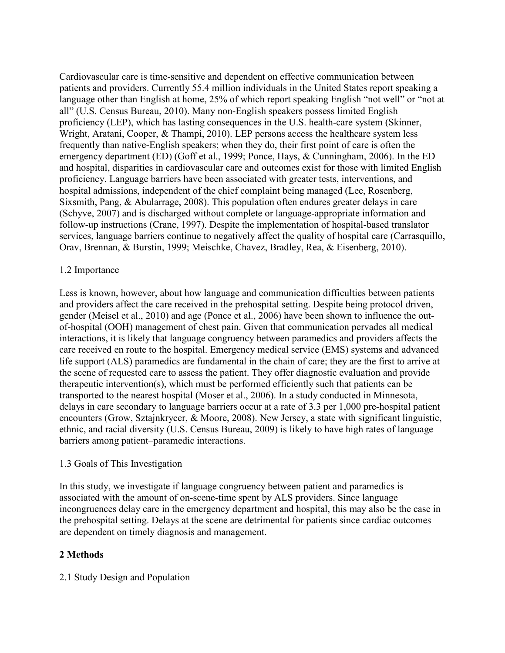Cardiovascular care is time‐sensitive and dependent on effective communication between patients and providers. Currently 55.4 million individuals in the United States report speaking a language other than English at home, 25% of which report speaking English "not well" or "not at all" (U.S. Census Bureau, 2010). Many non‐English speakers possess limited English proficiency (LEP), which has lasting consequences in the U.S. health-care system (Skinner, Wright, Aratani, Cooper, & Thampi, 2010). LEP persons access the healthcare system less frequently than native‐English speakers; when they do, their first point of care is often the emergency department (ED) (Goff et al., 1999; Ponce, Hays, & Cunningham, 2006). In the ED and hospital, disparities in cardiovascular care and outcomes exist for those with limited English proficiency. Language barriers have been associated with greater tests, interventions, and hospital admissions, independent of the chief complaint being managed (Lee, Rosenberg, Sixsmith, Pang, & Abularrage, 2008). This population often endures greater delays in care (Schyve, 2007) and is discharged without complete or language‐appropriate information and follow-up instructions (Crane, 1997). Despite the implementation of hospital-based translator services, language barriers continue to negatively affect the quality of hospital care (Carrasquillo, Orav, Brennan, & Burstin, 1999; Meischke, Chavez, Bradley, Rea, & Eisenberg, 2010).

## 1.2 Importance

Less is known, however, about how language and communication difficulties between patients and providers affect the care received in the prehospital setting. Despite being protocol driven, gender (Meisel et al., 2010) and age (Ponce et al., 2006) have been shown to influence the outof‐hospital (OOH) management of chest pain. Given that communication pervades all medical interactions, it is likely that language congruency between paramedics and providers affects the care received en route to the hospital. Emergency medical service (EMS) systems and advanced life support (ALS) paramedics are fundamental in the chain of care; they are the first to arrive at the scene of requested care to assess the patient. They offer diagnostic evaluation and provide therapeutic intervention(s), which must be performed efficiently such that patients can be transported to the nearest hospital (Moser et al., 2006). In a study conducted in Minnesota, delays in care secondary to language barriers occur at a rate of 3.3 per 1,000 pre‐hospital patient encounters (Grow, Sztajnkrycer, & Moore, 2008). New Jersey, a state with significant linguistic, ethnic, and racial diversity (U.S. Census Bureau, 2009) is likely to have high rates of language barriers among patient–paramedic interactions.

### 1.3 Goals of This Investigation

In this study, we investigate if language congruency between patient and paramedics is associated with the amount of on‐scene‐time spent by ALS providers. Since language incongruences delay care in the emergency department and hospital, this may also be the case in the prehospital setting. Delays at the scene are detrimental for patients since cardiac outcomes are dependent on timely diagnosis and management.

## **2 Methods**

2.1 Study Design and Population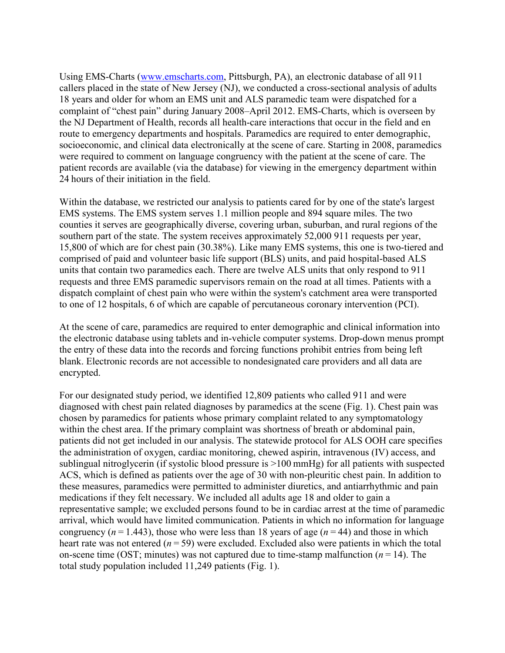Using EMS‐Charts ([www.emscharts.com,](http://www.emscharts.com/) Pittsburgh, PA), an electronic database of all 911 callers placed in the state of New Jersey (NJ), we conducted a cross-sectional analysis of adults 18 years and older for whom an EMS unit and ALS paramedic team were dispatched for a complaint of "chest pain" during January 2008–April 2012. EMS‐Charts, which is overseen by the NJ Department of Health, records all health‐care interactions that occur in the field and en route to emergency departments and hospitals. Paramedics are required to enter demographic, socioeconomic, and clinical data electronically at the scene of care. Starting in 2008, paramedics were required to comment on language congruency with the patient at the scene of care. The patient records are available (via the database) for viewing in the emergency department within 24 hours of their initiation in the field.

Within the database, we restricted our analysis to patients cared for by one of the state's largest EMS systems. The EMS system serves 1.1 million people and 894 square miles. The two counties it serves are geographically diverse, covering urban, suburban, and rural regions of the southern part of the state. The system receives approximately 52,000 911 requests per year, 15,800 of which are for chest pain (30.38%). Like many EMS systems, this one is two‐tiered and comprised of paid and volunteer basic life support (BLS) units, and paid hospital‐based ALS units that contain two paramedics each. There are twelve ALS units that only respond to 911 requests and three EMS paramedic supervisors remain on the road at all times. Patients with a dispatch complaint of chest pain who were within the system's catchment area were transported to one of 12 hospitals, 6 of which are capable of percutaneous coronary intervention (PCI).

At the scene of care, paramedics are required to enter demographic and clinical information into the electronic database using tablets and in‐vehicle computer systems. Drop‐down menus prompt the entry of these data into the records and forcing functions prohibit entries from being left blank. Electronic records are not accessible to nondesignated care providers and all data are encrypted.

For our designated study period, we identified 12,809 patients who called 911 and were diagnosed with chest pain related diagnoses by paramedics at the scene (Fig. 1). Chest pain was chosen by paramedics for patients whose primary complaint related to any symptomatology within the chest area. If the primary complaint was shortness of breath or abdominal pain, patients did not get included in our analysis. The statewide protocol for ALS OOH care specifies the administration of oxygen, cardiac monitoring, chewed aspirin, intravenous (IV) access, and sublingual nitroglycerin (if systolic blood pressure is >100 mmHg) for all patients with suspected ACS, which is defined as patients over the age of 30 with non‐pleuritic chest pain. In addition to these measures, paramedics were permitted to administer diuretics, and antiarrhythmic and pain medications if they felt necessary. We included all adults age 18 and older to gain a representative sample; we excluded persons found to be in cardiac arrest at the time of paramedic arrival, which would have limited communication. Patients in which no information for language congruency ( $n = 1.443$ ), those who were less than 18 years of age ( $n = 44$ ) and those in which heart rate was not entered  $(n=59)$  were excluded. Excluded also were patients in which the total on-scene time (OST; minutes) was not captured due to time-stamp malfunction  $(n = 14)$ . The total study population included 11,249 patients (Fig. 1).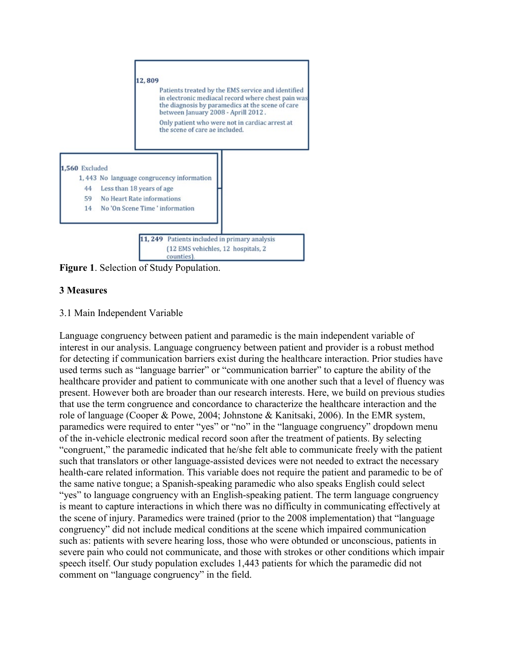

**Figure 1**. Selection of Study Population.

# **3 Measures**

## 3.1 Main Independent Variable

Language congruency between patient and paramedic is the main independent variable of interest in our analysis. Language congruency between patient and provider is a robust method for detecting if communication barriers exist during the healthcare interaction. Prior studies have used terms such as "language barrier" or "communication barrier" to capture the ability of the healthcare provider and patient to communicate with one another such that a level of fluency was present. However both are broader than our research interests. Here, we build on previous studies that use the term congruence and concordance to characterize the healthcare interaction and the role of language (Cooper & Powe, 2004; Johnstone & Kanitsaki, 2006). In the EMR system, paramedics were required to enter "yes" or "no" in the "language congruency" dropdown menu of the in‐vehicle electronic medical record soon after the treatment of patients. By selecting "congruent," the paramedic indicated that he/she felt able to communicate freely with the patient such that translators or other language‐assisted devices were not needed to extract the necessary health-care related information. This variable does not require the patient and paramedic to be of the same native tongue; a Spanish‐speaking paramedic who also speaks English could select "yes" to language congruency with an English‐speaking patient. The term language congruency is meant to capture interactions in which there was no difficulty in communicating effectively at the scene of injury. Paramedics were trained (prior to the 2008 implementation) that "language congruency" did not include medical conditions at the scene which impaired communication such as: patients with severe hearing loss, those who were obtunded or unconscious, patients in severe pain who could not communicate, and those with strokes or other conditions which impair speech itself. Our study population excludes 1,443 patients for which the paramedic did not comment on "language congruency" in the field.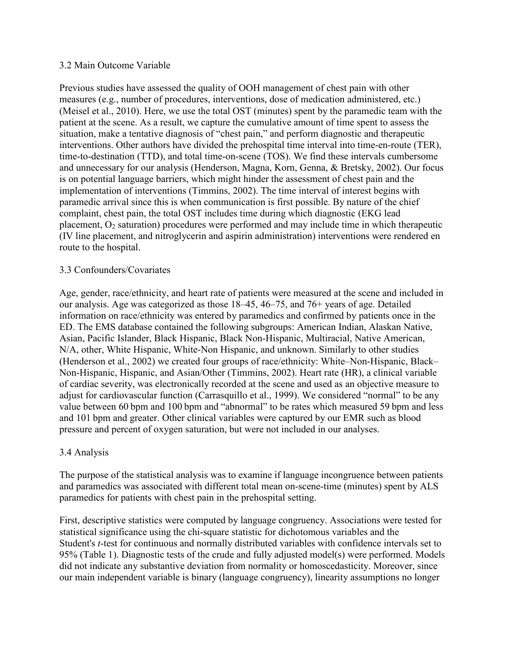### 3.2 Main Outcome Variable

Previous studies have assessed the quality of OOH management of chest pain with other measures (e.g., number of procedures, interventions, dose of medication administered, etc.) (Meisel et al., 2010). Here, we use the total OST (minutes) spent by the paramedic team with the patient at the scene. As a result, we capture the cumulative amount of time spent to assess the situation, make a tentative diagnosis of "chest pain," and perform diagnostic and therapeutic interventions. Other authors have divided the prehospital time interval into time-en-route (TER), time-to-destination (TTD), and total time-on-scene (TOS). We find these intervals cumbersome and unnecessary for our analysis (Henderson, Magna, Korn, Genna, & Bretsky, 2002). Our focus is on potential language barriers, which might hinder the assessment of chest pain and the implementation of interventions (Timmins, 2002). The time interval of interest begins with paramedic arrival since this is when communication is first possible. By nature of the chief complaint, chest pain, the total OST includes time during which diagnostic (EKG lead placement,  $O_2$  saturation) procedures were performed and may include time in which therapeutic (IV line placement, and nitroglycerin and aspirin administration) interventions were rendered en route to the hospital.

### 3.3 Confounders/Covariates

Age, gender, race/ethnicity, and heart rate of patients were measured at the scene and included in our analysis. Age was categorized as those 18–45, 46–75, and 76+ years of age. Detailed information on race/ethnicity was entered by paramedics and confirmed by patients once in the ED. The EMS database contained the following subgroups: American Indian, Alaskan Native, Asian, Pacific Islander, Black Hispanic, Black Non‐Hispanic, Multiracial, Native American, N/A, other, White Hispanic, White‐Non Hispanic, and unknown. Similarly to other studies (Henderson et al., 2002) we created four groups of race/ethnicity: White–Non‐Hispanic, Black– Non‐Hispanic, Hispanic, and Asian/Other (Timmins, 2002). Heart rate (HR), a clinical variable of cardiac severity, was electronically recorded at the scene and used as an objective measure to adjust for cardiovascular function (Carrasquillo et al., 1999). We considered "normal" to be any value between 60 bpm and 100 bpm and "abnormal" to be rates which measured 59 bpm and less and 101 bpm and greater. Other clinical variables were captured by our EMR such as blood pressure and percent of oxygen saturation, but were not included in our analyses.

### 3.4 Analysis

The purpose of the statistical analysis was to examine if language incongruence between patients and paramedics was associated with different total mean on‐scene‐time (minutes) spent by ALS paramedics for patients with chest pain in the prehospital setting.

First, descriptive statistics were computed by language congruency. Associations were tested for statistical significance using the chi‐square statistic for dichotomous variables and the Student's *t*-test for continuous and normally distributed variables with confidence intervals set to 95% (Table 1). Diagnostic tests of the crude and fully adjusted model(s) were performed. Models did not indicate any substantive deviation from normality or homoscedasticity. Moreover, since our main independent variable is binary (language congruency), linearity assumptions no longer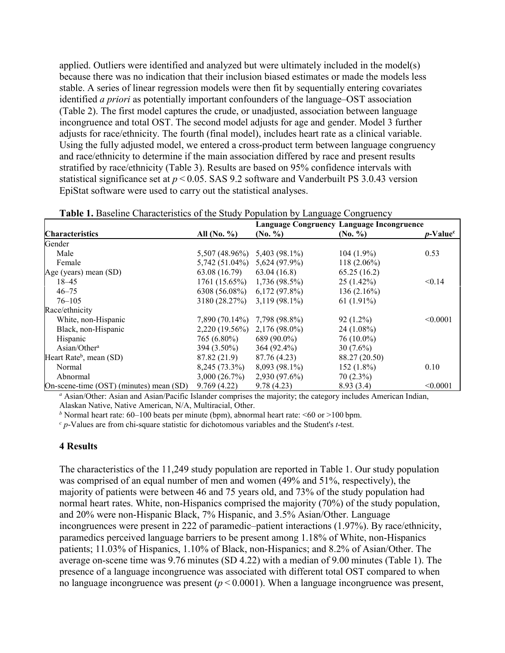applied. Outliers were identified and analyzed but were ultimately included in the model(s) because there was no indication that their inclusion biased estimates or made the models less stable. A series of linear regression models were then fit by sequentially entering covariates identified *a priori* as potentially important confounders of the language–OST association (Table 2). The first model captures the crude, or unadjusted, association between language incongruence and total OST. The second model adjusts for age and gender. Model 3 further adjusts for race/ethnicity. The fourth (final model), includes heart rate as a clinical variable. Using the fully adjusted model, we entered a cross-product term between language congruency and race/ethnicity to determine if the main association differed by race and present results stratified by race/ethnicity (Table 3). Results are based on 95% confidence intervals with statistical significance set at *p* < 0.05. SAS 9.2 software and Vanderbuilt PS 3.0.43 version EpiStat software were used to carry out the statistical analyses.

|                                         |                          |                      | Language Congruency Language Incongruence |                              |
|-----------------------------------------|--------------------------|----------------------|-------------------------------------------|------------------------------|
| <b>Characteristics</b>                  | All $(N_0, \frac{9}{6})$ | $(N_0, \frac{9}{6})$ | $(N_0, \frac{9}{6})$                      | <i>p</i> -Value <sup>c</sup> |
| Gender                                  |                          |                      |                                           |                              |
| Male                                    | 5,507 (48.96%)           | 5,403 (98.1%)        | $104(1.9\%)$                              | 0.53                         |
| Female                                  | $5,742(51.04\%)$         | 5,624 (97.9%)        | $118(2.06\%)$                             |                              |
| Age (years) mean (SD)                   | 63.08 (16.79)            | 63.04(16.8)          | 65.25(16.2)                               |                              |
| $18 - 45$                               | 1761(15.65%)             | $1,736(98.5\%)$      | 25(1.42%)                                 | < 0.14                       |
| $46 - 75$                               | 6308 (56.08%)            | $6,172(97.8\%)$      | 136(2.16%)                                |                              |
| $76 - 105$                              | 3180 (28.27%)            | $3,119(98.1\%)$      | 61 $(1.91\%)$                             |                              |
| Race/ethnicity                          |                          |                      |                                           |                              |
| White, non-Hispanic                     | 7,890 (70.14%)           | 7,798 (98.8%)        | $92(1.2\%)$                               | < 0.0001                     |
| Black, non-Hispanic                     | 2,220 (19.56%)           | $2,176(98.0\%)$      | $24(1.08\%)$                              |                              |
| Hispanic                                | 765 (6.80%)              | 689 (90.0%)          | $76(10.0\%)$                              |                              |
| Asian/Other <sup>a</sup>                | $394(3.50\%)$            | $364(92.4\%)$        | $30(7.6\%)$                               |                              |
| Heart Rate <sup>b</sup> , mean (SD)     | 87.82 (21.9)             | 87.76 (4.23)         | 88.27 (20.50)                             |                              |
| Normal                                  | 8,245 (73.3%)            | $8,093(98.1\%)$      | $152(1.8\%)$                              | 0.10                         |
| Abnormal                                | 3,000(26.7%)             | 2,930 (97.6%)        | $70(2.3\%)$                               |                              |
| On-scene-time (OST) (minutes) mean (SD) | 9.769(4.22)              | 9.78(4.23)           | 8.93(3.4)                                 | < 0.0001                     |

| Table 1. Baseline Characteristics of the Study Population by Language Congruency |  |  |  |  |  |
|----------------------------------------------------------------------------------|--|--|--|--|--|
|----------------------------------------------------------------------------------|--|--|--|--|--|

*<sup>a</sup>* Asian/Other: Asian and Asian/Pacific Islander comprises the majority; the category includes American Indian, Alaskan Native, Native American, N/A, Multiracial, Other.

*b* Normal heart rate: 60–100 beats per minute (bpm), abnormal heart rate:  $\leq 60$  or  $>100$  bpm.

*<sup>c</sup> p*‐Values are from chi‐square statistic for dichotomous variables and the Student's *t*‐test.

#### **4 Results**

The characteristics of the 11,249 study population are reported in Table 1. Our study population was comprised of an equal number of men and women (49% and 51%, respectively), the majority of patients were between 46 and 75 years old, and 73% of the study population had normal heart rates. White, non-Hispanics comprised the majority (70%) of the study population, and 20% were non‐Hispanic Black, 7% Hispanic, and 3.5% Asian/Other. Language incongruences were present in 222 of paramedic–patient interactions (1.97%). By race/ethnicity, paramedics perceived language barriers to be present among 1.18% of White, non-Hispanics patients; 11.03% of Hispanics, 1.10% of Black, non‐Hispanics; and 8.2% of Asian/Other. The average on‐scene time was 9.76 minutes (SD 4.22) with a median of 9.00 minutes (Table 1). The presence of a language incongruence was associated with different total OST compared to when no language incongruence was present  $(p < 0.0001)$ . When a language incongruence was present,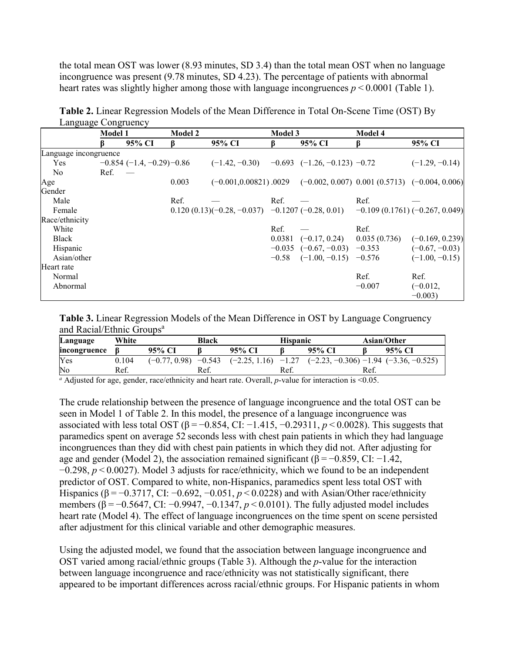the total mean OST was lower (8.93 minutes, SD 3.4) than the total mean OST when no language incongruence was present (9.78 minutes, SD 4.23). The percentage of patients with abnormal heart rates was slightly higher among those with language incongruences  $p \le 0.0001$  (Table 1).

|                       | <b>Model 1</b> |                             | <b>Model 2</b> |                                                                                | <b>Model 3</b> |                           | <b>Model 4</b>                  |                   |
|-----------------------|----------------|-----------------------------|----------------|--------------------------------------------------------------------------------|----------------|---------------------------|---------------------------------|-------------------|
|                       |                | 95% CI                      |                | 95% CI                                                                         |                | 95% CI                    |                                 | 95% CI            |
| Language incongruence |                |                             |                |                                                                                |                |                           |                                 |                   |
| <b>Yes</b>            |                | $-0.854$ (-1.4, -0.29)-0.86 |                | $(-1.42, -0.30)$ $-0.693$ $(-1.26, -0.123)$ $-0.72$                            |                |                           |                                 | $(-1.29, -0.14)$  |
| No.                   | Ref.           |                             |                |                                                                                |                |                           |                                 |                   |
| Age                   |                |                             | 0.003          | $(-0.001, 0.00821)$ .0029 $(-0.002, 0.007)$ 0.001 $(0.5713)$ $(-0.004, 0.006)$ |                |                           |                                 |                   |
| Gender                |                |                             |                |                                                                                |                |                           |                                 |                   |
| Male                  |                |                             | Ref.           |                                                                                | Ref.           |                           | Ref.                            |                   |
| Female                |                |                             |                | $0.120(0.13)(-0.28,-0.037)$ $-0.1207(-0.28,0.01)$                              |                |                           | $-0.109(0.1761)(-0.267, 0.049)$ |                   |
| Race/ethnicity        |                |                             |                |                                                                                |                |                           |                                 |                   |
| White                 |                |                             |                |                                                                                | Ref.           |                           | Ref.                            |                   |
| <b>Black</b>          |                |                             |                |                                                                                |                | $0.0381$ $(-0.17, 0.24)$  | 0.035(0.736)                    | $(-0.169, 0.239)$ |
| Hispanic              |                |                             |                |                                                                                |                | $-0.035$ $(-0.67, -0.03)$ | $-0.353$                        | $(-0.67, -0.03)$  |
| Asian/other           |                |                             |                |                                                                                | $-0.58$        | $(-1.00, -0.15)$ $-0.576$ |                                 | $(-1.00, -0.15)$  |
| Heart rate            |                |                             |                |                                                                                |                |                           |                                 |                   |
| Normal                |                |                             |                |                                                                                |                |                           | Ref.                            | Ref.              |
| Abnormal              |                |                             |                |                                                                                |                |                           | $-0.007$                        | $(-0.012,$        |
|                       |                |                             |                |                                                                                |                |                           |                                 | $-0.003$          |

**Table 2.** Linear Regression Models of the Mean Difference in Total On‐Scene Time (OST) By Language Congruency

**Table 3.** Linear Regression Models of the Mean Difference in OST by Language Congruency and Racial/Ethnic Groups<sup>a</sup>

| Language              | White |                          | Black |                       | <b>Hispanic</b> |                                                         | Asian/Other |                                           |
|-----------------------|-------|--------------------------|-------|-----------------------|-----------------|---------------------------------------------------------|-------------|-------------------------------------------|
| incongruence          |       | 95% CI                   |       | 95% CI                |                 | 95% CI                                                  |             | 95% CI                                    |
| Yes                   | 0.104 | $(-0.77, 0.98)$ $-0.543$ |       | $(-2.25, 1.16) -1.27$ |                 |                                                         |             | $(-2.23, -0.306)$ -1.94 $(-3.36, -0.525)$ |
| No                    | Ref.  |                          | Ref.  |                       | Ref.            |                                                         | Ref.        |                                           |
| $\alpha$ and $\alpha$ |       |                          |       |                       |                 | $\sim$ $\sim$ $\sim$ $\sim$ $\sim$ $\sim$ $\sim$ $\sim$ |             |                                           |

*a* Adjusted for age, gender, race/ethnicity and heart rate. Overall, *p*-value for interaction is <0.05.

The crude relationship between the presence of language incongruence and the total OST can be seen in Model 1 of Table 2. In this model, the presence of a language incongruence was associated with less total OST ( $\beta = -0.854$ , CI:  $-1.415$ ,  $-0.29311$ ,  $p < 0.0028$ ). This suggests that paramedics spent on average 52 seconds less with chest pain patients in which they had language incongruences than they did with chest pain patients in which they did not. After adjusting for age and gender (Model 2), the association remained significant ( $\beta = -0.859$ , CI:  $-1.42$ , −0.298, *p* < 0.0027). Model 3 adjusts for race/ethnicity, which we found to be an independent predictor of OST. Compared to white, non-Hispanics, paramedics spent less total OST with Hispanics (β = −0.3717, CI: −0.692, −0.051, *p* < 0.0228) and with Asian/Other race/ethnicity members (β = -0.5647, CI: -0.9947, -0.1347, *p* < 0.0101). The fully adjusted model includes heart rate (Model 4). The effect of language incongruences on the time spent on scene persisted after adjustment for this clinical variable and other demographic measures.

Using the adjusted model, we found that the association between language incongruence and OST varied among racial/ethnic groups (Table 3). Although the *p*-value for the interaction between language incongruence and race/ethnicity was not statistically significant, there appeared to be important differences across racial/ethnic groups. For Hispanic patients in whom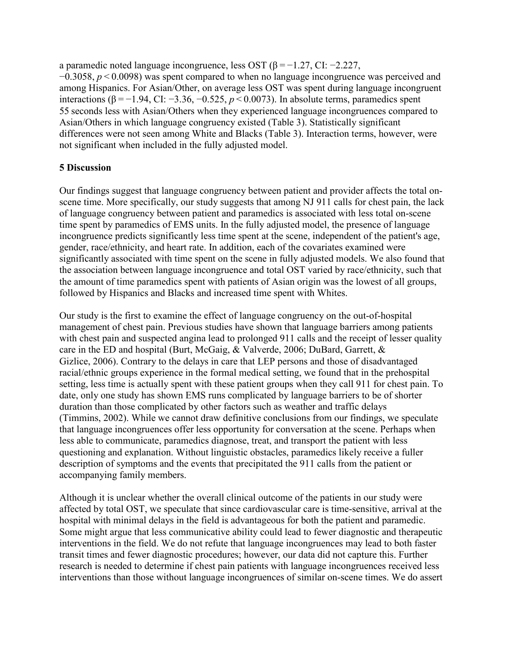a paramedic noted language incongruence, less OST (β = −1.27, CI: −2.227, −0.3058, *p* < 0.0098) was spent compared to when no language incongruence was perceived and among Hispanics. For Asian/Other, on average less OST was spent during language incongruent interactions (β<sup> $=$ </sup> −1.94, CI: −3.36, −0.525, *p* < 0.0073). In absolute terms, paramedics spent 55 seconds less with Asian/Others when they experienced language incongruences compared to Asian/Others in which language congruency existed (Table 3). Statistically significant differences were not seen among White and Blacks (Table 3). Interaction terms, however, were not significant when included in the fully adjusted model.

### **5 Discussion**

Our findings suggest that language congruency between patient and provider affects the total on‐ scene time. More specifically, our study suggests that among NJ 911 calls for chest pain, the lack of language congruency between patient and paramedics is associated with less total on‐scene time spent by paramedics of EMS units. In the fully adjusted model, the presence of language incongruence predicts significantly less time spent at the scene, independent of the patient's age, gender, race/ethnicity, and heart rate. In addition, each of the covariates examined were significantly associated with time spent on the scene in fully adjusted models. We also found that the association between language incongruence and total OST varied by race/ethnicity, such that the amount of time paramedics spent with patients of Asian origin was the lowest of all groups, followed by Hispanics and Blacks and increased time spent with Whites.

Our study is the first to examine the effect of language congruency on the out‐of‐hospital management of chest pain. Previous studies have shown that language barriers among patients with chest pain and suspected angina lead to prolonged 911 calls and the receipt of lesser quality care in the ED and hospital (Burt, McGaig, & Valverde, 2006; DuBard, Garrett, & Gizlice, 2006). Contrary to the delays in care that LEP persons and those of disadvantaged racial/ethnic groups experience in the formal medical setting, we found that in the prehospital setting, less time is actually spent with these patient groups when they call 911 for chest pain. To date, only one study has shown EMS runs complicated by language barriers to be of shorter duration than those complicated by other factors such as weather and traffic delays (Timmins, 2002). While we cannot draw definitive conclusions from our findings, we speculate that language incongruences offer less opportunity for conversation at the scene. Perhaps when less able to communicate, paramedics diagnose, treat, and transport the patient with less questioning and explanation. Without linguistic obstacles, paramedics likely receive a fuller description of symptoms and the events that precipitated the 911 calls from the patient or accompanying family members.

Although it is unclear whether the overall clinical outcome of the patients in our study were affected by total OST, we speculate that since cardiovascular care is time‐sensitive, arrival at the hospital with minimal delays in the field is advantageous for both the patient and paramedic. Some might argue that less communicative ability could lead to fewer diagnostic and therapeutic interventions in the field. We do not refute that language incongruences may lead to both faster transit times and fewer diagnostic procedures; however, our data did not capture this. Further research is needed to determine if chest pain patients with language incongruences received less interventions than those without language incongruences of similar on‐scene times. We do assert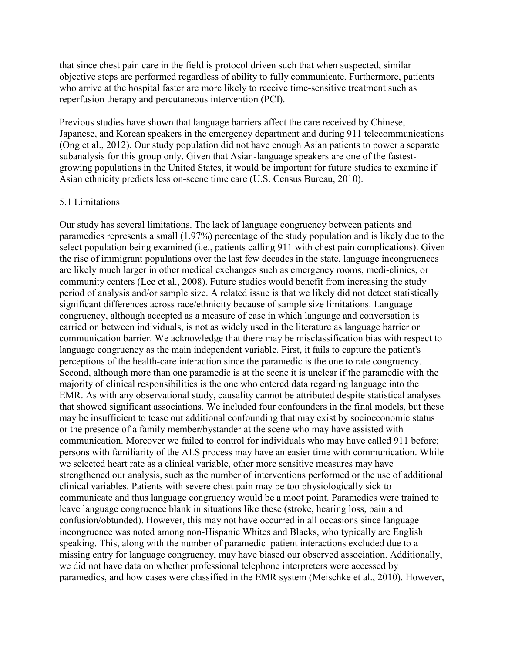that since chest pain care in the field is protocol driven such that when suspected, similar objective steps are performed regardless of ability to fully communicate. Furthermore, patients who arrive at the hospital faster are more likely to receive time-sensitive treatment such as reperfusion therapy and percutaneous intervention (PCI).

Previous studies have shown that language barriers affect the care received by Chinese, Japanese, and Korean speakers in the emergency department and during 911 telecommunications (Ong et al., 2012). Our study population did not have enough Asian patients to power a separate subanalysis for this group only. Given that Asian-language speakers are one of the fastestgrowing populations in the United States, it would be important for future studies to examine if Asian ethnicity predicts less on‐scene time care (U.S. Census Bureau, 2010).

#### 5.1 Limitations

Our study has several limitations. The lack of language congruency between patients and paramedics represents a small (1.97%) percentage of the study population and is likely due to the select population being examined (i.e., patients calling 911 with chest pain complications). Given the rise of immigrant populations over the last few decades in the state, language incongruences are likely much larger in other medical exchanges such as emergency rooms, medi‐clinics, or community centers (Lee et al., 2008). Future studies would benefit from increasing the study period of analysis and/or sample size. A related issue is that we likely did not detect statistically significant differences across race/ethnicity because of sample size limitations. Language congruency, although accepted as a measure of ease in which language and conversation is carried on between individuals, is not as widely used in the literature as language barrier or communication barrier. We acknowledge that there may be misclassification bias with respect to language congruency as the main independent variable. First, it fails to capture the patient's perceptions of the health-care interaction since the paramedic is the one to rate congruency. Second, although more than one paramedic is at the scene it is unclear if the paramedic with the majority of clinical responsibilities is the one who entered data regarding language into the EMR. As with any observational study, causality cannot be attributed despite statistical analyses that showed significant associations. We included four confounders in the final models, but these may be insufficient to tease out additional confounding that may exist by socioeconomic status or the presence of a family member/bystander at the scene who may have assisted with communication. Moreover we failed to control for individuals who may have called 911 before; persons with familiarity of the ALS process may have an easier time with communication. While we selected heart rate as a clinical variable, other more sensitive measures may have strengthened our analysis, such as the number of interventions performed or the use of additional clinical variables. Patients with severe chest pain may be too physiologically sick to communicate and thus language congruency would be a moot point. Paramedics were trained to leave language congruence blank in situations like these (stroke, hearing loss, pain and confusion/obtunded). However, this may not have occurred in all occasions since language incongruence was noted among non‐Hispanic Whites and Blacks, who typically are English speaking. This, along with the number of paramedic–patient interactions excluded due to a missing entry for language congruency, may have biased our observed association. Additionally, we did not have data on whether professional telephone interpreters were accessed by paramedics, and how cases were classified in the EMR system (Meischke et al., 2010). However,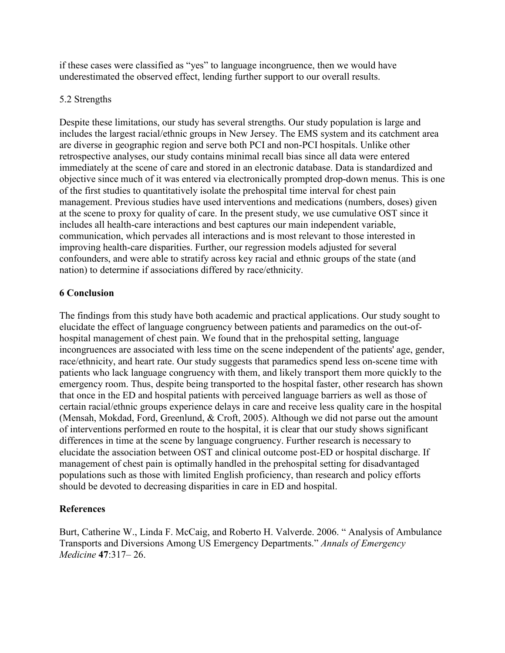if these cases were classified as "yes" to language incongruence, then we would have underestimated the observed effect, lending further support to our overall results.

## 5.2 Strengths

Despite these limitations, our study has several strengths. Our study population is large and includes the largest racial/ethnic groups in New Jersey. The EMS system and its catchment area are diverse in geographic region and serve both PCI and non‐PCI hospitals. Unlike other retrospective analyses, our study contains minimal recall bias since all data were entered immediately at the scene of care and stored in an electronic database. Data is standardized and objective since much of it was entered via electronically prompted drop‐down menus. This is one of the first studies to quantitatively isolate the prehospital time interval for chest pain management. Previous studies have used interventions and medications (numbers, doses) given at the scene to proxy for quality of care. In the present study, we use cumulative OST since it includes all health-care interactions and best captures our main independent variable, communication, which pervades all interactions and is most relevant to those interested in improving health-care disparities. Further, our regression models adjusted for several confounders, and were able to stratify across key racial and ethnic groups of the state (and nation) to determine if associations differed by race/ethnicity.

# **6 Conclusion**

The findings from this study have both academic and practical applications. Our study sought to elucidate the effect of language congruency between patients and paramedics on the out‐of‐ hospital management of chest pain. We found that in the prehospital setting, language incongruences are associated with less time on the scene independent of the patients' age, gender, race/ethnicity, and heart rate. Our study suggests that paramedics spend less on-scene time with patients who lack language congruency with them, and likely transport them more quickly to the emergency room. Thus, despite being transported to the hospital faster, other research has shown that once in the ED and hospital patients with perceived language barriers as well as those of certain racial/ethnic groups experience delays in care and receive less quality care in the hospital (Mensah, Mokdad, Ford, Greenlund, & Croft, 2005). Although we did not parse out the amount of interventions performed en route to the hospital, it is clear that our study shows significant differences in time at the scene by language congruency. Further research is necessary to elucidate the association between OST and clinical outcome post‐ED or hospital discharge. If management of chest pain is optimally handled in the prehospital setting for disadvantaged populations such as those with limited English proficiency, than research and policy efforts should be devoted to decreasing disparities in care in ED and hospital.

## **References**

Burt, Catherine W., Linda F. McCaig, and Roberto H. Valverde. 2006. " Analysis of Ambulance Transports and Diversions Among US Emergency Departments." *Annals of Emergency Medicine* **47**:317– 26.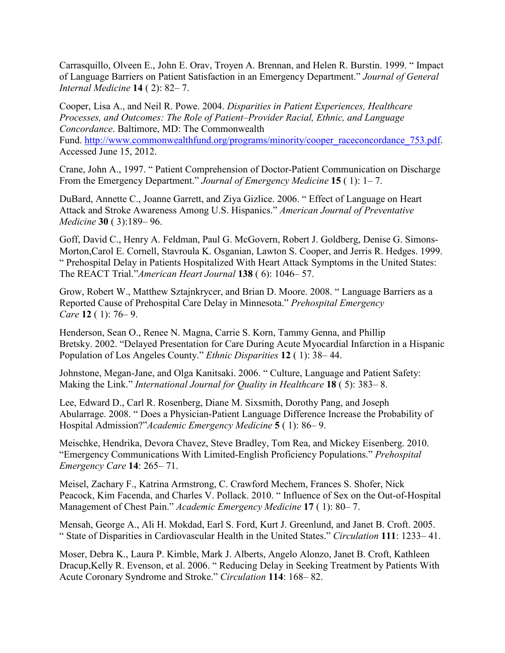Carrasquillo, Olveen E., John E. Orav, Troyen A. Brennan, and Helen R. Burstin. 1999. " Impact of Language Barriers on Patient Satisfaction in an Emergency Department." *Journal of General Internal Medicine* **14** ( 2): 82– 7.

Cooper, Lisa A., and Neil R. Powe. 2004. *Disparities in Patient Experiences, Healthcare Processes, and Outcomes: The Role of Patient–Provider Racial, Ethnic, and Language Concordance*. Baltimore, MD: The Commonwealth Fund. http://www.commo[nwealthfund.org/programs/minority/cooper\\_raceconcordance\\_753.pdf](http://www.commonwealthfund.org/programs/minority/cooper_raceconcordance_753.pdf). Accessed June 15, 2012.

Crane, John A., 1997. " Patient Comprehension of Doctor‐Patient Communication on Discharge From the Emergency Department." *Journal of Emergency Medicine* **15** ( 1): 1– 7.

DuBard, Annette C., Joanne Garrett, and Ziya Gizlice. 2006. " Effect of Language on Heart Attack and Stroke Awareness Among U.S. Hispanics." *American Journal of Preventative Medicine* **30** ( 3):189– 96.

Goff, David C., Henry A. Feldman, Paul G. McGovern, Robert J. Goldberg, Denise G. Simons‐ Morton,Carol E. Cornell, Stavroula K. Osganian, Lawton S. Cooper, and Jerris R. Hedges. 1999. " Prehospital Delay in Patients Hospitalized With Heart Attack Symptoms in the United States: The REACT Trial."*American Heart Journal* **138** ( 6): 1046– 57.

Grow, Robert W., Matthew Sztajnkrycer, and Brian D. Moore. 2008. " Language Barriers as a Reported Cause of Prehospital Care Delay in Minnesota." *Prehospital Emergency Care* **12** ( 1): 76– 9.

Henderson, Sean O., Renee N. Magna, Carrie S. Korn, Tammy Genna, and Phillip Bretsky. 2002. "Delayed Presentation for Care During Acute Myocardial Infarction in a Hispanic Population of Los Angeles County." *Ethnic Disparities* **12** ( 1): 38– 44.

Johnstone, Megan‐Jane, and Olga Kanitsaki. 2006. " Culture, Language and Patient Safety: Making the Link." *International Journal for Quality in Healthcare* **18** ( 5): 383– 8.

Lee, Edward D., Carl R. Rosenberg, Diane M. Sixsmith, Dorothy Pang, and Joseph Abularrage. 2008. " Does a Physician‐Patient Language Difference Increase the Probability of Hospital Admission?"*Academic Emergency Medicine* **5** ( 1): 86– 9.

Meischke, Hendrika, Devora Chavez, Steve Bradley, Tom Rea, and Mickey Eisenberg. 2010. "Emergency Communications With Limited‐English Proficiency Populations." *Prehospital Emergency Care* **14**: 265– 71.

Meisel, Zachary F., Katrina Armstrong, C. Crawford Mechem, Frances S. Shofer, Nick Peacock, Kim Facenda, and Charles V. Pollack. 2010. "Influence of Sex on the Out-of-Hospital Management of Chest Pain." *Academic Emergency Medicine* **17** ( 1): 80– 7.

Mensah, George A., Ali H. Mokdad, Earl S. Ford, Kurt J. Greenlund, and Janet B. Croft. 2005. " State of Disparities in Cardiovascular Health in the United States." *Circulation* **111**: 1233– 41.

Moser, Debra K., Laura P. Kimble, Mark J. Alberts, Angelo Alonzo, Janet B. Croft, Kathleen Dracup,Kelly R. Evenson, et al. 2006. " Reducing Delay in Seeking Treatment by Patients With Acute Coronary Syndrome and Stroke." *Circulation* **114**: 168– 82.